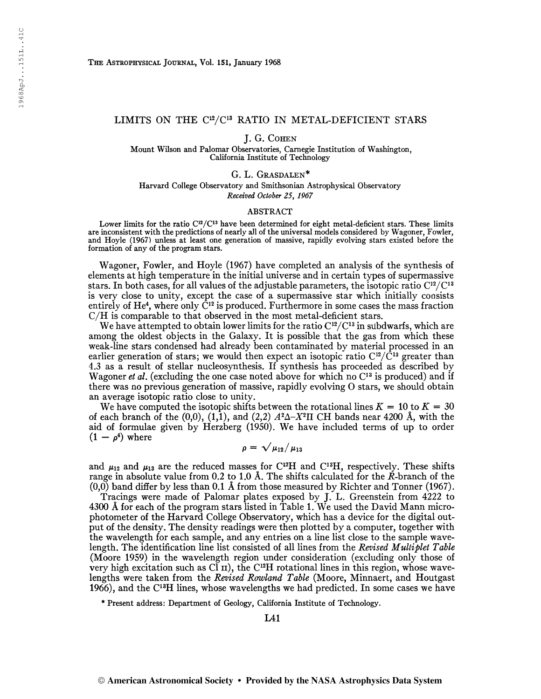## LIMITS ON THE C<sup>12</sup>/C<sup>13</sup> RATIO IN METAL-DEFICIENT STARS

J. G. COHEN

Mount Wilson and Palomar Observatories, Carnegie Institution of Washington, California Institute of Technology

G. L. Grasdalen\*

Harvard College Observatory and Smithsonian Astrophysical Observatory Received October 25, 1967

## ABSTRACT

Lower limits for the ratio C<sup>12</sup>/C<sup>13</sup> have been determined for eight metal-deficient stars. These limits are inconsistent with the predictions of nearly all of the universal models considered by Wagoner, Fowler, and Hoyle (1967) unless at least one generation of massive, rapidly evolving stars existed before the formation of any of the program stars.

Wagoner, Fowler, and Hoyle (1967) have completed an analysis of the synthesis of elements at high temperature in the initial universe and in certain types of supermassive stars. In both cases, for all values of the adjustable parameters, the isotopic ratio  $\mathrm{C}^{12}/\mathrm{C}^{13}$ is very close to unity, except the case of a supermassive star which initially consists entirely of He<sup>4</sup>, where only  $\check{\rm C}^{12}$  is produced. Furthermore in some cases the mass fraction C/H is comparable to that observed in the most metal-deficient stars.

We have attempted to obtain lower limits for the ratio  $\mathrm{C^{12}/C^{13}}$  in subdwarfs, which are among the oldest objects in the Galaxy. It is possible that the gas from which these weak-line stars condensed had already been contaminated by material processed in an weak-line stars condensed had affeady been containmated by material processed in an earlier generation of stars; we would then expect an isotopic ratio  $C^{12}/C^{13}$  greater than 4.3 as a result of stellar nucleosynthesis. If synthesis has proceeded as described by Wagoner et al. (excluding the one case noted above for which no  $C^{13}$  is produced) and if there was no previous generation of massive, rapidly evolving 0 stars, we should obtain an average isotopic ratio close to unity.

We have computed the isotopic shifts between the rotational lines  $K = 10$  to  $K = 30$ of each branch of the (0,0), (1,1), and (2,2)  $A^2\Delta - X^2\Pi$  CH bands near 4200 Å, with the aid of formulae given by Herzberg (1950). We have included terms of up to order  $(1 - \rho^4)$  where

 $\rho = \sqrt{\mu_{12}/\mu_{13}}$ 

and  $\mu_{12}$  and  $\mu_{13}$  are the reduced masses for C<sup>12</sup>H and C<sup>13</sup>H, respectively. These shifts range in absolute value from 0.2 to 1.0 Å. The shifts calculated for the  $\overline{R}$ -branch of the  $(0,0)$  band differ by less than 0.1 Å from those measured by Richter and Tonner (1967).

Tracings were made of Palomar plates exposed by J. L. Greenstein from 4222 to 4300 Â for each of the program stars fisted in Table 1. We used the David Mann microphotometer of the Harvard College Observatory, which has a device for the digital output of the density. The density readings were then plotted by a computer, together with the wavelength for each sample, and any entries on a line list close to the sample wavelength. The identification line list consisted of all lines from the Revised Multiplet Table (Moore 1959) in the wavelength region under consideration (excluding only those of very high excitation such as  $CI$   $\Pi$ ), the C<sup>12</sup>H rotational lines in this region, whose wavelengths were taken from the Revised Rowland Table (Moore, Minnaert, and Houtgast 1966), and the C<sup>13</sup>H lines, whose wavelengths we had predicted. In some cases we have

\* Present address: Department of Geology, California Institute of Technology.

L41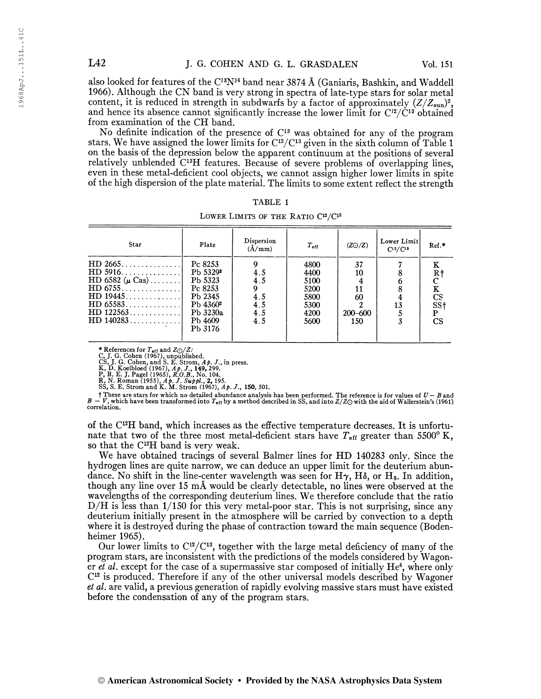also looked for features of the C<sup>13</sup>N<sup>14</sup> band near 3874 Å (Ganiaris, Bashkin, and Waddell 1966). Although the CN band is very strong in spectra of late-type stars for solar metal content, it is reduced in strength in subdwarfs by a factor of approximately  $(Z/Z_{sun})^2$ and hence its absence cannot significantly increase the lower limit for  $C^{12}/C^{13}$  obtained from examination of the CH band.

No definite indication of the presence of C <sup>13</sup> was obtained for any of the program stars. We have assigned the lower limits for  $\mathrm{C}^{12}/\mathrm{C}^{13}$  given in the sixth column of Table 1 on the basis of the depression below the apparent continuum at the positions of several relatively unblended C<sup>13</sup>H features. Because of severe problems of overlapping lines even in these metal-deficient cool objects, we cannot assign higher lower limits in spite of the high dispersion of the plate material. The limits to some extent reflect the strength

| Star                                                                                                                                                                    | Plate                                                                                                                      | Dispersion<br>$(\AA/\text{mm})$             | $T_{\rm eff}$                                                | (ZO/Z)                               | Lower Limit<br>C12/C18 | $Ref.*$                                                                   |
|-------------------------------------------------------------------------------------------------------------------------------------------------------------------------|----------------------------------------------------------------------------------------------------------------------------|---------------------------------------------|--------------------------------------------------------------|--------------------------------------|------------------------|---------------------------------------------------------------------------|
| $HD\ 2665 \ldots \ldots \ldots$<br>HD 5916.<br>HD 6582 $(\mu \text{ Cas})$<br>$HD 6755 \ldots $<br>HD 19445. 1<br>$HD$ 65583<br>$HD 122563 \ldots$<br>$HD140283 \ldots$ | Pc 8253<br>Pb 5329 <sup>2</sup><br>Pb 5323<br>Pc 8253<br>Pb 2345<br>Pb 4360 <sup>2</sup><br>Pb 3230a<br>Pb 4609<br>Pb 3176 | 9<br>4.5<br>4.5<br>4.5<br>4.5<br>4.5<br>4.5 | 4800<br>4400<br>5100<br>5200<br>5800<br>5300<br>4200<br>5600 | 37<br>10<br>60<br>$200 - 600$<br>150 | 13                     | к<br>Rţ<br>K<br><b>CS</b><br>SS <sub>t</sub><br>${\bf P}$<br>$\mathbf{C}$ |

LOWER LIMITS OF THE RATIO  $C^{12}/C^{13}$ 

\* References for  $T_{eff}$  and  $Z_{\bigcirc}/Z$ :<br>C, J. G. Cohen (1967), unpublished.<br>CS, J. G. Cohen, and S. E. Strom,  $A \phi$ . J., in press.<br>K, D. Koelbloed (1967),  $A \phi$ . J., 149, 299.<br>P, B. E. J. Pagel (1965),  $R, O.B., No. 104$ .<br>R, N.

These are stars for which no detailed abundance analysis has been performed. The reference is for values of  $U - B$  and<br> $B - V$ , which have been transformed into  $T_{\text{eff}}$  by a method described in SS, and into  $Z/Z\odot$  with th correlation.

of the C <sup>12</sup>H band, which increases as the effective temperature decreases. It is unfortunate that two of the three most metal-deficient stars have  $T_{\text{eff}}$  greater than 5500° K, so that the C<sup>12</sup>H band is very weak.

We have obtained tracings of several Balmer lines for HD 140283 only. Since the hydrogen lines are quite narrow, we can deduce an upper limit for the deuterium abundance. No shift in the line-center wavelength was seen for  $H\gamma$ ,  $H\delta$ , or  $H_s$ . In addition, though any line over 15 mÂ would be clearly detectable, no lines were observed at the wavelengths of the corresponding deuterium lines. We therefore conclude that the ratio D/H is less than 1/150 for this very metal-poor star. This is not surprising, since any deuterium initially present in the atmosphere will be carried by convection to a depth where it is destroyed during the phase of contraction toward the main sequence (Bodenheimer 1965).

Our lower limits to  $C^{12}/C^{13}$ , together with the large metal deficiency of many of the program stars, are inconsistent with the predictions of the models considered by Wagoner et al. except for the case of a supermassive star composed of initially  $He<sup>4</sup>$ , where only C 12 is produced. Therefore if any of the other universal models described by Wagoner et al. are valid, a previous generation of rapidly evolving massive stars must have existed before the condensation of any of the program stars.